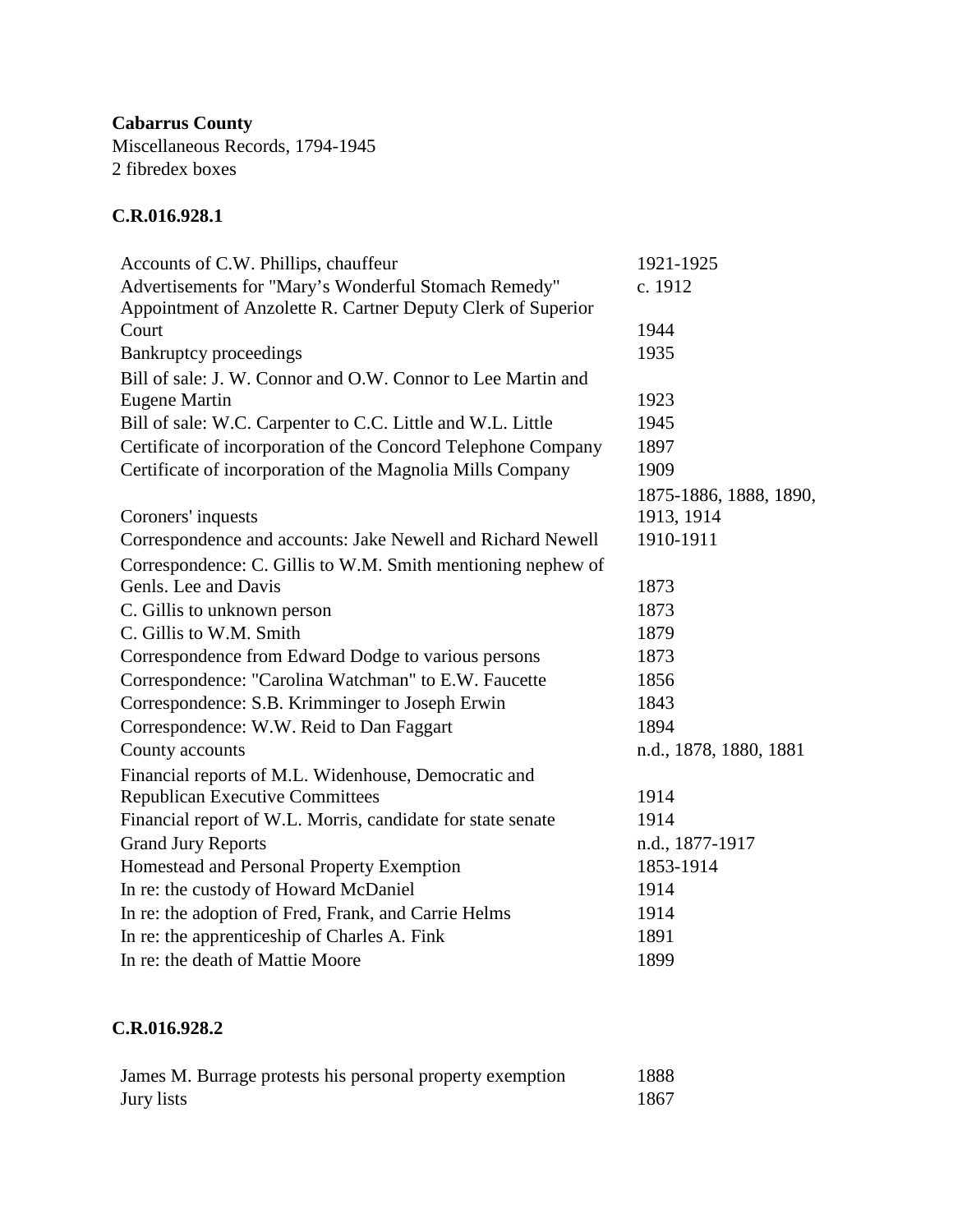**Cabarrus County** Miscellaneous Records, 1794-1945 2 fibredex boxes

## **C.R.016.928.1**

| Accounts of C.W. Phillips, chauffeur                          | 1921-1925              |
|---------------------------------------------------------------|------------------------|
| Advertisements for "Mary's Wonderful Stomach Remedy"          | c. 1912                |
| Appointment of Anzolette R. Cartner Deputy Clerk of Superior  |                        |
| Court                                                         | 1944                   |
| <b>Bankruptcy proceedings</b>                                 | 1935                   |
| Bill of sale: J. W. Connor and O.W. Connor to Lee Martin and  |                        |
| <b>Eugene Martin</b>                                          | 1923                   |
| Bill of sale: W.C. Carpenter to C.C. Little and W.L. Little   | 1945                   |
| Certificate of incorporation of the Concord Telephone Company | 1897                   |
| Certificate of incorporation of the Magnolia Mills Company    | 1909                   |
|                                                               | 1875-1886, 1888, 1890, |
| Coroners' inquests                                            | 1913, 1914             |
| Correspondence and accounts: Jake Newell and Richard Newell   | 1910-1911              |
| Correspondence: C. Gillis to W.M. Smith mentioning nephew of  |                        |
| Genls. Lee and Davis                                          | 1873                   |
| C. Gillis to unknown person                                   | 1873                   |
| C. Gillis to W.M. Smith                                       | 1879                   |
| Correspondence from Edward Dodge to various persons           | 1873                   |
| Correspondence: "Carolina Watchman" to E.W. Faucette          | 1856                   |
| Correspondence: S.B. Krimminger to Joseph Erwin               | 1843                   |
| Correspondence: W.W. Reid to Dan Faggart                      | 1894                   |
| County accounts                                               | n.d., 1878, 1880, 1881 |
| Financial reports of M.L. Widenhouse, Democratic and          |                        |
| <b>Republican Executive Committees</b>                        | 1914                   |
| Financial report of W.L. Morris, candidate for state senate   | 1914                   |
| <b>Grand Jury Reports</b>                                     | n.d., 1877-1917        |
| Homestead and Personal Property Exemption                     | 1853-1914              |
| In re: the custody of Howard McDaniel                         | 1914                   |
| In re: the adoption of Fred, Frank, and Carrie Helms          | 1914                   |
| In re: the apprenticeship of Charles A. Fink                  | 1891                   |
| In re: the death of Mattie Moore                              | 1899                   |

## **C.R.016.928.2**

| James M. Burrage protests his personal property exemption | 1888 |
|-----------------------------------------------------------|------|
| Jury lists                                                | 1867 |